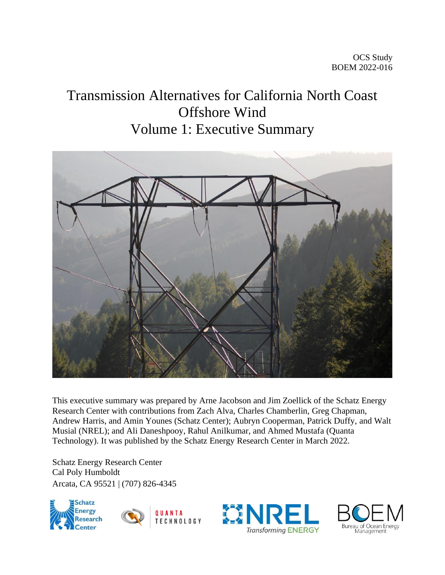# Transmission Alternatives for California North Coast Offshore Wind Volume 1: Executive Summary



This executive summary was prepared by Arne Jacobson and Jim Zoellick of the Schatz Energy Research Center with contributions from Zach Alva, Charles Chamberlin, Greg Chapman, Andrew Harris, and Amin Younes (Schatz Center); Aubryn Cooperman, Patrick Duffy, and Walt Musial (NREL); and Ali Daneshpooy, Rahul Anilkumar, and Ahmed Mustafa (Quanta Technology). It was published by the Schatz Energy Research Center in March 2022.

Schatz Energy Research Center Cal Poly Humboldt Arcata, CA 95521 | (707) 826-4345





QUANTA **TECHNOLOGY** 



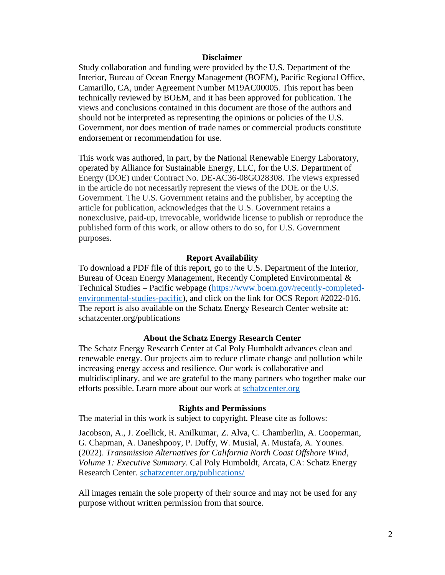#### **Disclaimer**

Study collaboration and funding were provided by the U.S. Department of the Interior, Bureau of Ocean Energy Management (BOEM), Pacific Regional Office, Camarillo, CA, under Agreement Number M19AC00005. This report has been technically reviewed by BOEM, and it has been approved for publication. The views and conclusions contained in this document are those of the authors and should not be interpreted as representing the opinions or policies of the U.S. Government, nor does mention of trade names or commercial products constitute endorsement or recommendation for use.

This work was authored, in part, by the National Renewable Energy Laboratory, operated by Alliance for Sustainable Energy, LLC, for the U.S. Department of Energy (DOE) under Contract No. DE-AC36-08GO28308. The views expressed in the article do not necessarily represent the views of the DOE or the U.S. Government. The U.S. Government retains and the publisher, by accepting the article for publication, acknowledges that the U.S. Government retains a nonexclusive, paid-up, irrevocable, worldwide license to publish or reproduce the published form of this work, or allow others to do so, for U.S. Government purposes.

#### **Report Availability**

To download a PDF file of this report, go to the U.S. Department of the Interior, Bureau of Ocean Energy Management, Recently Completed Environmental & Technical Studies – Pacific webpage [\(https://www.boem.gov/recently-completed](https://www.boem.gov/recently-completed-environmental-studies-pacific)[environmental-studies-pacific\)](https://www.boem.gov/recently-completed-environmental-studies-pacific), and click on the link for OCS Report #2022-016. The report is also available on the Schatz Energy Research Center website at: schatzcenter.org/publications

#### **About the Schatz Energy Research Center**

The Schatz Energy Research Center at Cal Poly Humboldt advances clean and renewable energy. Our projects aim to reduce climate change and pollution while increasing energy access and resilience. Our work is collaborative and multidisciplinary, and we are grateful to the many partners who together make our efforts possible. Learn more about our work at [schatzcenter.org](http://schatzcenter.org/)

#### **Rights and Permissions**

The material in this work is subject to copyright. Please cite as follows:

Jacobson, A., J. Zoellick, R. Anilkumar, Z. Alva, C. Chamberlin, A. Cooperman, G. Chapman, A. Daneshpooy, P. Duffy, W. Musial, A. Mustafa, A. Younes*.* (2022). *Transmission Alternatives for California North Coast Offshore Wind, Volume 1: Executive Summary*. Cal Poly Humboldt, Arcata, CA: Schatz Energy Research Center. [schatzcenter.org/publications/](http://schatzcenter.org/publications)

All images remain the sole property of their source and may not be used for any purpose without written permission from that source.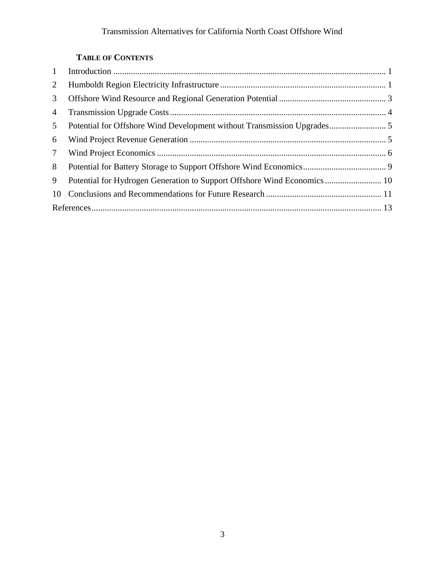# **TABLE OF CONTENTS**

| 2               |                                                                         |  |
|-----------------|-------------------------------------------------------------------------|--|
| 3               |                                                                         |  |
| 4               |                                                                         |  |
| 5 <sup>5</sup>  |                                                                         |  |
| 6               |                                                                         |  |
| $7\overline{ }$ |                                                                         |  |
| 8               |                                                                         |  |
| 9               | Potential for Hydrogen Generation to Support Offshore Wind Economics 10 |  |
| 10              |                                                                         |  |
|                 |                                                                         |  |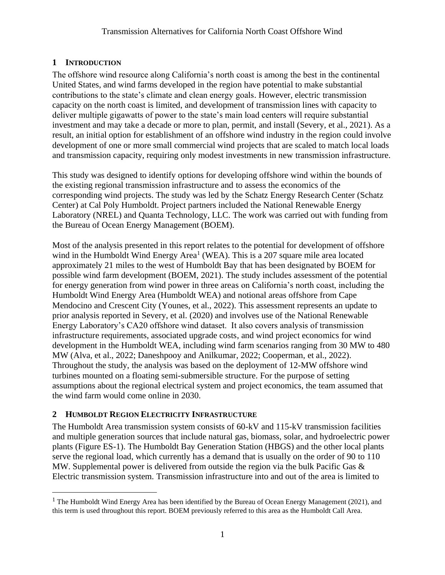# <span id="page-3-0"></span>**1 INTRODUCTION**

The offshore wind resource along California's north coast is among the best in the continental United States, and wind farms developed in the region have potential to make substantial contributions to the state's climate and clean energy goals. However, electric transmission capacity on the north coast is limited, and development of transmission lines with capacity to deliver multiple gigawatts of power to the state's main load centers will require substantial investment and may take a decade or more to plan, permit, and install (Severy, et al., 2021). As a result, an initial option for establishment of an offshore wind industry in the region could involve development of one or more small commercial wind projects that are scaled to match local loads and transmission capacity, requiring only modest investments in new transmission infrastructure.

This study was designed to identify options for developing offshore wind within the bounds of the existing regional transmission infrastructure and to assess the economics of the corresponding wind projects. The study was led by the Schatz Energy Research Center (Schatz Center) at Cal Poly Humboldt. Project partners included the National Renewable Energy Laboratory (NREL) and Quanta Technology, LLC. The work was carried out with funding from the Bureau of Ocean Energy Management (BOEM).

Most of the analysis presented in this report relates to the potential for development of offshore wind in the Humboldt Wind Energy Area<sup>1</sup> (WEA). This is a 207 square mile area located approximately 21 miles to the west of Humboldt Bay that has been designated by BOEM for possible wind farm development (BOEM, 2021). The study includes assessment of the potential for energy generation from wind power in three areas on California's north coast, including the Humboldt Wind Energy Area (Humboldt WEA) and notional areas offshore from Cape Mendocino and Crescent City (Younes, et al., 2022). This assessment represents an update to prior analysis reported in Severy, et al. (2020) and involves use of the National Renewable Energy Laboratory's CA20 offshore wind dataset. It also covers analysis of transmission infrastructure requirements, associated upgrade costs, and wind project economics for wind development in the Humboldt WEA, including wind farm scenarios ranging from 30 MW to 480 MW (Alva, et al., 2022; Daneshpooy and Anilkumar, 2022; Cooperman, et al., 2022). Throughout the study, the analysis was based on the deployment of 12-MW offshore wind turbines mounted on a floating semi-submersible structure. For the purpose of setting assumptions about the regional electrical system and project economics, the team assumed that the wind farm would come online in 2030.

# <span id="page-3-1"></span>**2 HUMBOLDT REGION ELECTRICITY INFRASTRUCTURE**

The Humboldt Area transmission system consists of 60-kV and 115-kV transmission facilities and multiple generation sources that include natural gas, biomass, solar, and hydroelectric power plants (Figure ES-1). The Humboldt Bay Generation Station (HBGS) and the other local plants serve the regional load, which currently has a demand that is usually on the order of 90 to 110 MW. Supplemental power is delivered from outside the region via the bulk Pacific Gas & Electric transmission system. Transmission infrastructure into and out of the area is limited to

<sup>&</sup>lt;sup>1</sup> The Humboldt Wind Energy Area has been identified by the Bureau of Ocean Energy Management (2021), and this term is used throughout this report. BOEM previously referred to this area as the Humboldt Call Area.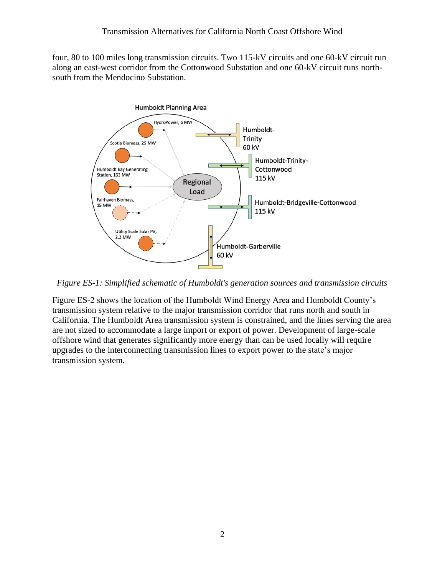four, 80 to 100 miles long transmission circuits. Two 115-kV circuits and one 60-kV circuit run along an east-west corridor from the Cottonwood Substation and one 60-kV circuit runs northsouth from the Mendocino Substation.



*Figure ES-1: Simplified schematic of Humboldt's generation sources and transmission circuits*

Figure ES-2 shows the location of the Humboldt Wind Energy Area and Humboldt County's transmission system relative to the major transmission corridor that runs north and south in California. The Humboldt Area transmission system is constrained, and the lines serving the area are not sized to accommodate a large import or export of power. Development of large-scale offshore wind that generates significantly more energy than can be used locally will require upgrades to the interconnecting transmission lines to export power to the state's major transmission system.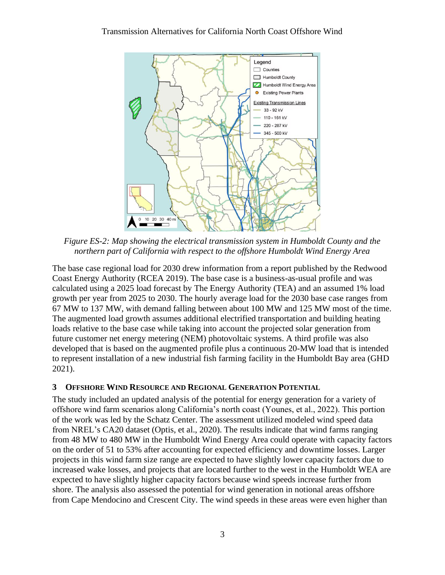

*Figure ES-2: Map showing the electrical transmission system in Humboldt County and the northern part of California with respect to the offshore Humboldt Wind Energy Area*

The base case regional load for 2030 drew information from a report published by the Redwood Coast Energy Authority (RCEA 2019). The base case is a business-as-usual profile and was calculated using a 2025 load forecast by The Energy Authority (TEA) and an assumed 1% load growth per year from 2025 to 2030. The hourly average load for the 2030 base case ranges from 67 MW to 137 MW, with demand falling between about 100 MW and 125 MW most of the time. The augmented load growth assumes additional electrified transportation and building heating loads relative to the base case while taking into account the projected solar generation from future customer net energy metering (NEM) photovoltaic systems. A third profile was also developed that is based on the augmented profile plus a continuous 20-MW load that is intended to represent installation of a new industrial fish farming facility in the Humboldt Bay area (GHD 2021).

# <span id="page-5-0"></span>**3 OFFSHORE WIND RESOURCE AND REGIONAL GENERATION POTENTIAL**

The study included an updated analysis of the potential for energy generation for a variety of offshore wind farm scenarios along California's north coast (Younes, et al., 2022). This portion of the work was led by the Schatz Center. The assessment utilized modeled wind speed data from NREL's CA20 dataset (Optis, et al., 2020). The results indicate that wind farms ranging from 48 MW to 480 MW in the Humboldt Wind Energy Area could operate with capacity factors on the order of 51 to 53% after accounting for expected efficiency and downtime losses. Larger projects in this wind farm size range are expected to have slightly lower capacity factors due to increased wake losses, and projects that are located further to the west in the Humboldt WEA are expected to have slightly higher capacity factors because wind speeds increase further from shore. The analysis also assessed the potential for wind generation in notional areas offshore from Cape Mendocino and Crescent City. The wind speeds in these areas were even higher than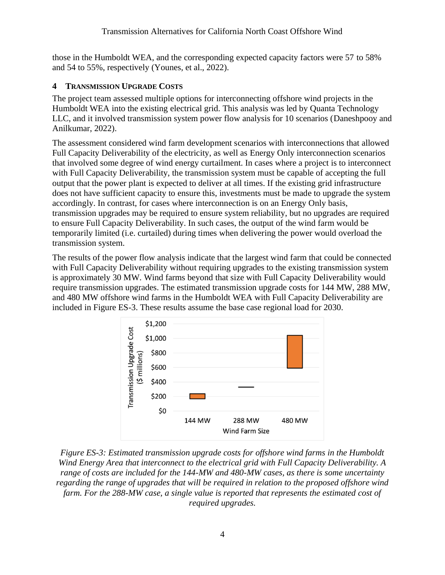those in the Humboldt WEA, and the corresponding expected capacity factors were 57 to 58% and 54 to 55%, respectively (Younes, et al., 2022).

# <span id="page-6-0"></span>**4 TRANSMISSION UPGRADE COSTS**

The project team assessed multiple options for interconnecting offshore wind projects in the Humboldt WEA into the existing electrical grid. This analysis was led by Quanta Technology LLC, and it involved transmission system power flow analysis for 10 scenarios (Daneshpooy and Anilkumar, 2022).

The assessment considered wind farm development scenarios with interconnections that allowed Full Capacity Deliverability of the electricity, as well as Energy Only interconnection scenarios that involved some degree of wind energy curtailment. In cases where a project is to interconnect with Full Capacity Deliverability, the transmission system must be capable of accepting the full output that the power plant is expected to deliver at all times. If the existing grid infrastructure does not have sufficient capacity to ensure this, investments must be made to upgrade the system accordingly. In contrast, for cases where interconnection is on an Energy Only basis, transmission upgrades may be required to ensure system reliability, but no upgrades are required to ensure Full Capacity Deliverability. In such cases, the output of the wind farm would be temporarily limited (i.e. curtailed) during times when delivering the power would overload the transmission system.

The results of the power flow analysis indicate that the largest wind farm that could be connected with Full Capacity Deliverability without requiring upgrades to the existing transmission system is approximately 30 MW. Wind farms beyond that size with Full Capacity Deliverability would require transmission upgrades. The estimated transmission upgrade costs for 144 MW, 288 MW, and 480 MW offshore wind farms in the Humboldt WEA with Full Capacity Deliverability are included in Figure ES-3. These results assume the base case regional load for 2030.



*Figure ES-3: Estimated transmission upgrade costs for offshore wind farms in the Humboldt Wind Energy Area that interconnect to the electrical grid with Full Capacity Deliverability. A range of costs are included for the 144-MW and 480-MW cases, as there is some uncertainty regarding the range of upgrades that will be required in relation to the proposed offshore wind farm. For the 288-MW case, a single value is reported that represents the estimated cost of required upgrades.*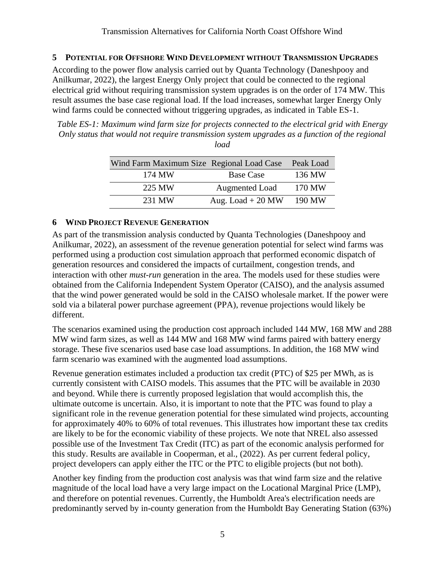# <span id="page-7-0"></span>**5 POTENTIAL FOR OFFSHORE WIND DEVELOPMENT WITHOUT TRANSMISSION UPGRADES**

According to the power flow analysis carried out by Quanta Technology (Daneshpooy and Anilkumar, 2022), the largest Energy Only project that could be connected to the regional electrical grid without requiring transmission system upgrades is on the order of 174 MW. This result assumes the base case regional load. If the load increases, somewhat larger Energy Only wind farms could be connected without triggering upgrades, as indicated in Table ES-1.

*Table ES-1: Maximum wind farm size for projects connected to the electrical grid with Energy Only status that would not require transmission system upgrades as a function of the regional load*

| Wind Farm Maximum Size Regional Load Case |                    | Peak Load |
|-------------------------------------------|--------------------|-----------|
| 174 MW                                    | <b>Base Case</b>   | 136 MW    |
| 225 MW                                    | Augmented Load     | 170 MW    |
| 231 MW                                    | Aug. Load $+20$ MW | 190 MW    |

## <span id="page-7-1"></span>**6 WIND PROJECT REVENUE GENERATION**

As part of the transmission analysis conducted by Quanta Technologies (Daneshpooy and Anilkumar, 2022), an assessment of the revenue generation potential for select wind farms was performed using a production cost simulation approach that performed economic dispatch of generation resources and considered the impacts of curtailment, congestion trends, and interaction with other *must-run* generation in the area. The models used for these studies were obtained from the California Independent System Operator (CAISO), and the analysis assumed that the wind power generated would be sold in the CAISO wholesale market. If the power were sold via a bilateral power purchase agreement (PPA), revenue projections would likely be different.

The scenarios examined using the production cost approach included 144 MW, 168 MW and 288 MW wind farm sizes, as well as 144 MW and 168 MW wind farms paired with battery energy storage. These five scenarios used base case load assumptions. In addition, the 168 MW wind farm scenario was examined with the augmented load assumptions.

Revenue generation estimates included a production tax credit (PTC) of \$25 per MWh, as is currently consistent with CAISO models. This assumes that the PTC will be available in 2030 and beyond. While there is currently proposed legislation that would accomplish this, the ultimate outcome is uncertain. Also, it is important to note that the PTC was found to play a significant role in the revenue generation potential for these simulated wind projects, accounting for approximately 40% to 60% of total revenues. This illustrates how important these tax credits are likely to be for the economic viability of these projects. We note that NREL also assessed possible use of the Investment Tax Credit (ITC) as part of the economic analysis performed for this study. Results are available in Cooperman, et al., (2022). As per current federal policy, project developers can apply either the ITC or the PTC to eligible projects (but not both).

Another key finding from the production cost analysis was that wind farm size and the relative magnitude of the local load have a very large impact on the Locational Marginal Price (LMP), and therefore on potential revenues. Currently, the Humboldt Area's electrification needs are predominantly served by in-county generation from the Humboldt Bay Generating Station (63%)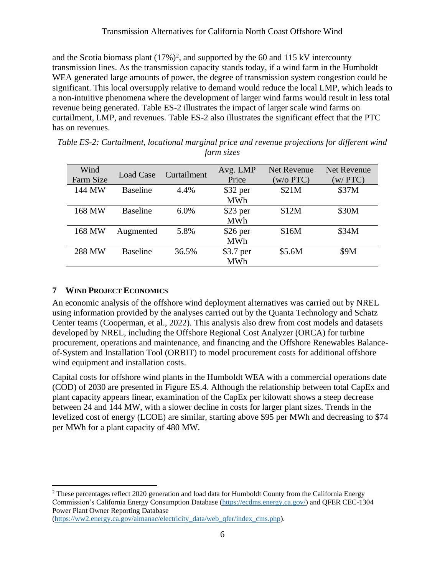and the Scotia biomass plant  $(17\%)^2$ , and supported by the 60 and 115 kV intercounty transmission lines. As the transmission capacity stands today, if a wind farm in the Humboldt WEA generated large amounts of power, the degree of transmission system congestion could be significant. This local oversupply relative to demand would reduce the local LMP, which leads to a non-intuitive phenomena where the development of larger wind farms would result in less total revenue being generated. Table ES-2 illustrates the impact of larger scale wind farms on curtailment, LMP, and revenues. Table ES-2 also illustrates the significant effect that the PTC has on revenues.

| Table ES-2: Curtailment, locational marginal price and revenue projections for different wind |  |  |
|-----------------------------------------------------------------------------------------------|--|--|
| farm sizes                                                                                    |  |  |

| Wind<br>Farm Size | Load Case       | Curtailment | Avg. LMP<br>Price | <b>Net Revenue</b><br>(w/o PTC) | Net Revenue<br>(w/PTC) |
|-------------------|-----------------|-------------|-------------------|---------------------------------|------------------------|
| 144 MW            | <b>Baseline</b> | 4.4%        | $$32$ per         | \$21M                           | \$37M                  |
|                   |                 |             | <b>MWh</b>        |                                 |                        |
| 168 MW            | <b>Baseline</b> | 6.0%        | $$23$ per         | \$12M                           | \$30M                  |
|                   |                 |             | <b>MWh</b>        |                                 |                        |
| 168 MW            | Augmented       | 5.8%        | $$26$ per         | \$16M                           | \$34M                  |
|                   |                 |             | <b>MWh</b>        |                                 |                        |
| 288 MW            | <b>Baseline</b> | 36.5%       | \$3.7 per         | \$5.6M                          | \$9M                   |
|                   |                 |             | <b>MWh</b>        |                                 |                        |

# <span id="page-8-0"></span>**7 WIND PROJECT ECONOMICS**

An economic analysis of the offshore wind deployment alternatives was carried out by NREL using information provided by the analyses carried out by the Quanta Technology and Schatz Center teams (Cooperman, et al., 2022). This analysis also drew from cost models and datasets developed by NREL, including the Offshore Regional Cost Analyzer (ORCA) for turbine procurement, operations and maintenance, and financing and the Offshore Renewables Balanceof-System and Installation Tool (ORBIT) to model procurement costs for additional offshore wind equipment and installation costs.

Capital costs for offshore wind plants in the Humboldt WEA with a commercial operations date (COD) of 2030 are presented in Figure ES.4. Although the relationship between total CapEx and plant capacity appears linear, examination of the CapEx per kilowatt shows a steep decrease between 24 and 144 MW, with a slower decline in costs for larger plant sizes. Trends in the levelized cost of energy (LCOE) are similar, starting above \$95 per MWh and decreasing to \$74 per MWh for a plant capacity of 480 MW.

<sup>&</sup>lt;sup>2</sup> These percentages reflect 2020 generation and load data for Humboldt County from the California Energy Commission's California Energy Consumption Database [\(https://ecdms.energy.ca.gov/\)](https://ecdms.energy.ca.gov/) and QFER CEC-1304 Power Plant Owner Reporting Database

[<sup>\(</sup>https://ww2.energy.ca.gov/almanac/electricity\\_data/web\\_qfer/index\\_cms.php\)](https://ww2.energy.ca.gov/almanac/electricity_data/web_qfer/index_cms.php).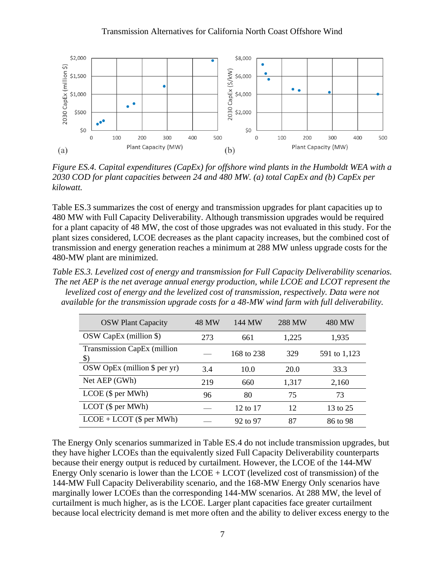

*Figure ES.4. Capital expenditures (CapEx) for offshore wind plants in the Humboldt WEA with a 2030 COD for plant capacities between 24 and 480 MW. (a) total CapEx and (b) CapEx per kilowatt.*

Table ES.3 summarizes the cost of energy and transmission upgrades for plant capacities up to 480 MW with Full Capacity Deliverability. Although transmission upgrades would be required for a plant capacity of 48 MW, the cost of those upgrades was not evaluated in this study. For the plant sizes considered, LCOE decreases as the plant capacity increases, but the combined cost of transmission and energy generation reaches a minimum at 288 MW unless upgrade costs for the 480-MW plant are minimized.

*Table ES.3. Levelized cost of energy and transmission for Full Capacity Deliverability scenarios. The net AEP is the net average annual energy production, while LCOE and LCOT represent the levelized cost of energy and the levelized cost of transmission, respectively. Data were not available for the transmission upgrade costs for a 48-MW wind farm with full deliverability.* 

| <b>OSW Plant Capacity</b>                    | 48 MW | 144 MW              | 288 MW | 480 MW       |
|----------------------------------------------|-------|---------------------|--------|--------------|
| $OSW CapEx$ (million \$)                     | 273   | 661                 | 1,225  | 1,935        |
| Transmission CapEx (million<br>$\mathcal{S}$ |       | 168 to 238          | 329    | 591 to 1,123 |
| $OSW$ OpEx (million \$ per yr)               | 3.4   | 10.0                | 20.0   | 33.3         |
| Net AEP (GWh)                                | 219   | 660                 | 1,317  | 2,160        |
| $LCOE$ (\$ per MWh)                          | 96    | 80                  | 75     | 73           |
| $LCOT$ (\$ per MWh)                          |       | 12 to 17            | 12     | 13 to 25     |
| $LCOE + LCOT$ (\$ per MWh)                   |       | $92 \text{ to } 97$ | 87     | 86 to 98     |

The Energy Only scenarios summarized in Table ES.4 do not include transmission upgrades, but they have higher LCOEs than the equivalently sized Full Capacity Deliverability counterparts because their energy output is reduced by curtailment. However, the LCOE of the 144-MW Energy Only scenario is lower than the  $LCDE + LCOT$  (levelized cost of transmission) of the 144-MW Full Capacity Deliverability scenario, and the 168-MW Energy Only scenarios have marginally lower LCOEs than the corresponding 144-MW scenarios. At 288 MW, the level of curtailment is much higher, as is the LCOE. Larger plant capacities face greater curtailment because local electricity demand is met more often and the ability to deliver excess energy to the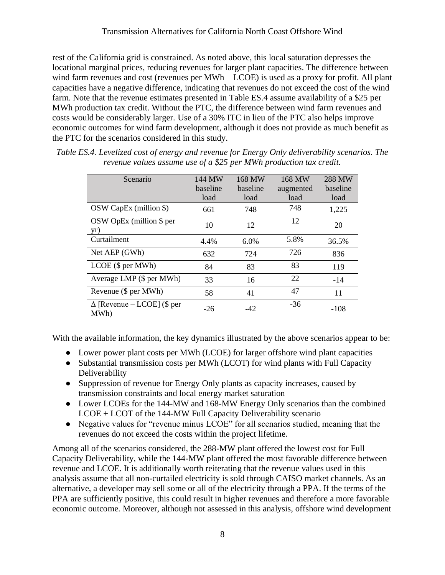rest of the California grid is constrained. As noted above, this local saturation depresses the locational marginal prices, reducing revenues for larger plant capacities. The difference between wind farm revenues and cost (revenues per MWh – LCOE) is used as a proxy for profit. All plant capacities have a negative difference, indicating that revenues do not exceed the cost of the wind farm. Note that the revenue estimates presented in Table ES.4 assume availability of a \$25 per MWh production tax credit. Without the PTC, the difference between wind farm revenues and costs would be considerably larger. Use of a 30% ITC in lieu of the PTC also helps improve economic outcomes for wind farm development, although it does not provide as much benefit as the PTC for the scenarios considered in this study.

| Scenario                                  | 144 MW<br>baseline<br>load | 168 MW<br>baseline<br>load | 168 MW<br>augmented<br>load | 288 MW<br>baseline<br>load |
|-------------------------------------------|----------------------------|----------------------------|-----------------------------|----------------------------|
| OSW CapEx (million \$)                    | 661                        | 748                        | 748                         | 1,225                      |
| $OSW$ OpEx (million \$ per<br>yr)         | 10                         | 12                         | 12                          | 20                         |
| Curtailment                               | 4.4%                       | 6.0%                       | 5.8%                        | 36.5%                      |
| Net AEP (GWh)                             | 632                        | 724                        | 726                         | 836                        |
| $LCOE$ (\$ per MWh)                       | 84                         | 83                         | 83                          | 119                        |
| Average LMP (\$ per MWh)                  | 33                         | 16                         | 22                          | $-14$                      |
| Revenue (\$ per MWh)                      | 58                         | 41                         | 47                          | 11                         |
| $\Delta$ [Revenue – LCOE] (\$ per<br>MWh) | $-26$                      | -42                        | $-36$                       | $-108$                     |

*Table ES.4. Levelized cost of energy and revenue for Energy Only deliverability scenarios. The revenue values assume use of a \$25 per MWh production tax credit.*

With the available information, the key dynamics illustrated by the above scenarios appear to be:

- Lower power plant costs per MWh (LCOE) for larger offshore wind plant capacities
- Substantial transmission costs per MWh (LCOT) for wind plants with Full Capacity Deliverability
- Suppression of revenue for Energy Only plants as capacity increases, caused by transmission constraints and local energy market saturation
- Lower LCOEs for the 144-MW and 168-MW Energy Only scenarios than the combined LCOE + LCOT of the 144-MW Full Capacity Deliverability scenario
- Negative values for "revenue minus LCOE" for all scenarios studied, meaning that the revenues do not exceed the costs within the project lifetime.

Among all of the scenarios considered, the 288-MW plant offered the lowest cost for Full Capacity Deliverability, while the 144-MW plant offered the most favorable difference between revenue and LCOE. It is additionally worth reiterating that the revenue values used in this analysis assume that all non-curtailed electricity is sold through CAISO market channels. As an alternative, a developer may sell some or all of the electricity through a PPA. If the terms of the PPA are sufficiently positive, this could result in higher revenues and therefore a more favorable economic outcome. Moreover, although not assessed in this analysis, offshore wind development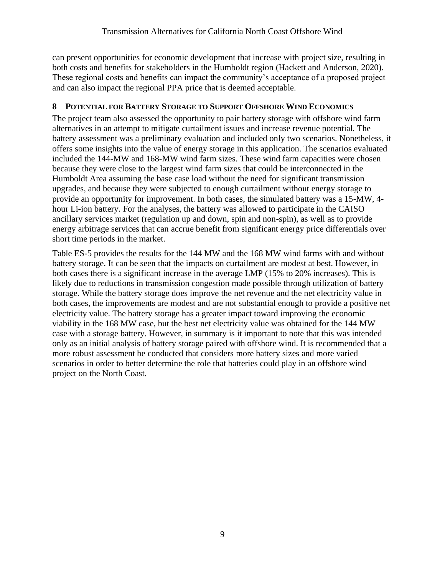can present opportunities for economic development that increase with project size, resulting in both costs and benefits for stakeholders in the Humboldt region (Hackett and Anderson, 2020). These regional costs and benefits can impact the community's acceptance of a proposed project and can also impact the regional PPA price that is deemed acceptable.

# <span id="page-11-0"></span>**8 POTENTIAL FOR BATTERY STORAGE TO SUPPORT OFFSHORE WIND ECONOMICS**

The project team also assessed the opportunity to pair battery storage with offshore wind farm alternatives in an attempt to mitigate curtailment issues and increase revenue potential. The battery assessment was a preliminary evaluation and included only two scenarios. Nonetheless, it offers some insights into the value of energy storage in this application. The scenarios evaluated included the 144-MW and 168-MW wind farm sizes. These wind farm capacities were chosen because they were close to the largest wind farm sizes that could be interconnected in the Humboldt Area assuming the base case load without the need for significant transmission upgrades, and because they were subjected to enough curtailment without energy storage to provide an opportunity for improvement. In both cases, the simulated battery was a 15-MW, 4 hour Li-ion battery. For the analyses, the battery was allowed to participate in the CAISO ancillary services market (regulation up and down, spin and non-spin), as well as to provide energy arbitrage services that can accrue benefit from significant energy price differentials over short time periods in the market.

Table ES-5 provides the results for the 144 MW and the 168 MW wind farms with and without battery storage. It can be seen that the impacts on curtailment are modest at best. However, in both cases there is a significant increase in the average LMP (15% to 20% increases). This is likely due to reductions in transmission congestion made possible through utilization of battery storage. While the battery storage does improve the net revenue and the net electricity value in both cases, the improvements are modest and are not substantial enough to provide a positive net electricity value. The battery storage has a greater impact toward improving the economic viability in the 168 MW case, but the best net electricity value was obtained for the 144 MW case with a storage battery. However, in summary is it important to note that this was intended only as an initial analysis of battery storage paired with offshore wind. It is recommended that a more robust assessment be conducted that considers more battery sizes and more varied scenarios in order to better determine the role that batteries could play in an offshore wind project on the North Coast.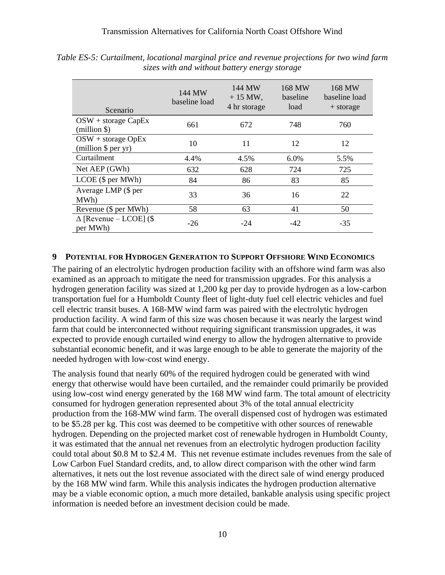| Scenario                                     | 144 MW<br>baseline load | 144 MW<br>$+15$ MW,<br>4 hr storage | 168 MW<br>baseline<br>load | 168 MW<br>baseline load<br>+ storage |
|----------------------------------------------|-------------------------|-------------------------------------|----------------------------|--------------------------------------|
| $OSW + storage CapEx$<br>$(million \$        | 661                     | 672                                 | 748                        | 760                                  |
| $OSW + storage OpEx$<br>(million $\$ per yr) | 10                      | 11                                  | 12                         | 12                                   |
| Curtailment                                  | 4.4%                    | 4.5%                                | 6.0%                       | 5.5%                                 |
| Net AEP (GWh)                                | 632                     | 628                                 | 724                        | 725                                  |
| $LCOE$ (\$ per MWh)                          | 84                      | 86                                  | 83                         | 85                                   |
| Average LMP (\$ per<br>MWh)                  | 33                      | 36                                  | 16                         | 22                                   |
| Revenue (\$ per MWh)                         | 58                      | 63                                  | 41                         | 50                                   |
| $\Delta$ [Revenue – LCOE] (\$<br>per MWh)    | $-26$                   | $-24$                               | $-42$                      | $-35$                                |

*Table ES-5: Curtailment, locational marginal price and revenue projections for two wind farm sizes with and without battery energy storage*

### <span id="page-12-0"></span>**9 POTENTIAL FOR HYDROGEN GENERATION TO SUPPORT OFFSHORE WIND ECONOMICS**

The pairing of an electrolytic hydrogen production facility with an offshore wind farm was also examined as an approach to mitigate the need for transmission upgrades. For this analysis a hydrogen generation facility was sized at 1,200 kg per day to provide hydrogen as a low-carbon transportation fuel for a Humboldt County fleet of light-duty fuel cell electric vehicles and fuel cell electric transit buses. A 168-MW wind farm was paired with the electrolytic hydrogen production facility. A wind farm of this size was chosen because it was nearly the largest wind farm that could be interconnected without requiring significant transmission upgrades, it was expected to provide enough curtailed wind energy to allow the hydrogen alternative to provide substantial economic benefit, and it was large enough to be able to generate the majority of the needed hydrogen with low-cost wind energy.

The analysis found that nearly 60% of the required hydrogen could be generated with wind energy that otherwise would have been curtailed, and the remainder could primarily be provided using low-cost wind energy generated by the 168 MW wind farm. The total amount of electricity consumed for hydrogen generation represented about 3% of the total annual electricity production from the 168-MW wind farm. The overall dispensed cost of hydrogen was estimated to be \$5.28 per kg. This cost was deemed to be competitive with other sources of renewable hydrogen. Depending on the projected market cost of renewable hydrogen in Humboldt County, it was estimated that the annual net revenues from an electrolytic hydrogen production facility could total about \$0.8 M to \$2.4 M. This net revenue estimate includes revenues from the sale of Low Carbon Fuel Standard credits, and, to allow direct comparison with the other wind farm alternatives, it nets out the lost revenue associated with the direct sale of wind energy produced by the 168 MW wind farm. While this analysis indicates the hydrogen production alternative may be a viable economic option, a much more detailed, bankable analysis using specific project information is needed before an investment decision could be made.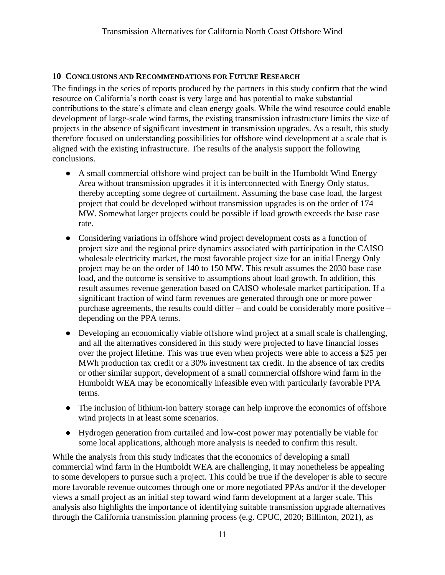## <span id="page-13-0"></span>**10 CONCLUSIONS AND RECOMMENDATIONS FOR FUTURE RESEARCH**

The findings in the series of reports produced by the partners in this study confirm that the wind resource on California's north coast is very large and has potential to make substantial contributions to the state's climate and clean energy goals. While the wind resource could enable development of large-scale wind farms, the existing transmission infrastructure limits the size of projects in the absence of significant investment in transmission upgrades. As a result, this study therefore focused on understanding possibilities for offshore wind development at a scale that is aligned with the existing infrastructure. The results of the analysis support the following conclusions.

- A small commercial offshore wind project can be built in the Humboldt Wind Energy Area without transmission upgrades if it is interconnected with Energy Only status, thereby accepting some degree of curtailment. Assuming the base case load, the largest project that could be developed without transmission upgrades is on the order of 174 MW. Somewhat larger projects could be possible if load growth exceeds the base case rate.
- Considering variations in offshore wind project development costs as a function of project size and the regional price dynamics associated with participation in the CAISO wholesale electricity market, the most favorable project size for an initial Energy Only project may be on the order of 140 to 150 MW. This result assumes the 2030 base case load, and the outcome is sensitive to assumptions about load growth. In addition, this result assumes revenue generation based on CAISO wholesale market participation. If a significant fraction of wind farm revenues are generated through one or more power purchase agreements, the results could differ – and could be considerably more positive – depending on the PPA terms.
- Developing an economically viable offshore wind project at a small scale is challenging, and all the alternatives considered in this study were projected to have financial losses over the project lifetime. This was true even when projects were able to access a \$25 per MWh production tax credit or a 30% investment tax credit. In the absence of tax credits or other similar support, development of a small commercial offshore wind farm in the Humboldt WEA may be economically infeasible even with particularly favorable PPA terms.
- The inclusion of lithium-ion battery storage can help improve the economics of offshore wind projects in at least some scenarios.
- Hydrogen generation from curtailed and low-cost power may potentially be viable for some local applications, although more analysis is needed to confirm this result.

While the analysis from this study indicates that the economics of developing a small commercial wind farm in the Humboldt WEA are challenging, it may nonetheless be appealing to some developers to pursue such a project. This could be true if the developer is able to secure more favorable revenue outcomes through one or more negotiated PPAs and/or if the developer views a small project as an initial step toward wind farm development at a larger scale. This analysis also highlights the importance of identifying suitable transmission upgrade alternatives through the California transmission planning process (e.g. CPUC, 2020; Billinton, 2021), as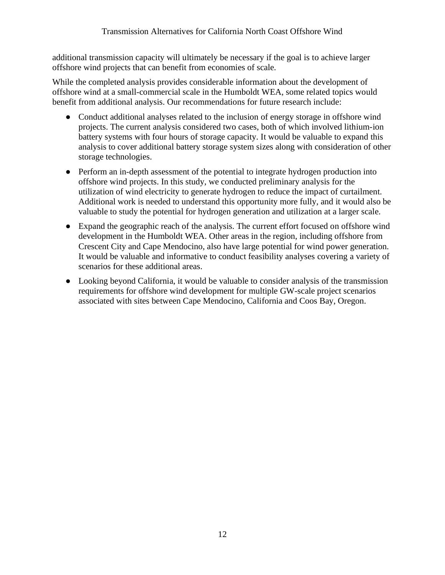additional transmission capacity will ultimately be necessary if the goal is to achieve larger offshore wind projects that can benefit from economies of scale.

While the completed analysis provides considerable information about the development of offshore wind at a small-commercial scale in the Humboldt WEA, some related topics would benefit from additional analysis. Our recommendations for future research include:

- Conduct additional analyses related to the inclusion of energy storage in offshore wind projects. The current analysis considered two cases, both of which involved lithium-ion battery systems with four hours of storage capacity. It would be valuable to expand this analysis to cover additional battery storage system sizes along with consideration of other storage technologies.
- Perform an in-depth assessment of the potential to integrate hydrogen production into offshore wind projects. In this study, we conducted preliminary analysis for the utilization of wind electricity to generate hydrogen to reduce the impact of curtailment. Additional work is needed to understand this opportunity more fully, and it would also be valuable to study the potential for hydrogen generation and utilization at a larger scale.
- Expand the geographic reach of the analysis. The current effort focused on offshore wind development in the Humboldt WEA. Other areas in the region, including offshore from Crescent City and Cape Mendocino, also have large potential for wind power generation. It would be valuable and informative to conduct feasibility analyses covering a variety of scenarios for these additional areas.
- Looking beyond California, it would be valuable to consider analysis of the transmission requirements for offshore wind development for multiple GW-scale project scenarios associated with sites between Cape Mendocino, California and Coos Bay, Oregon.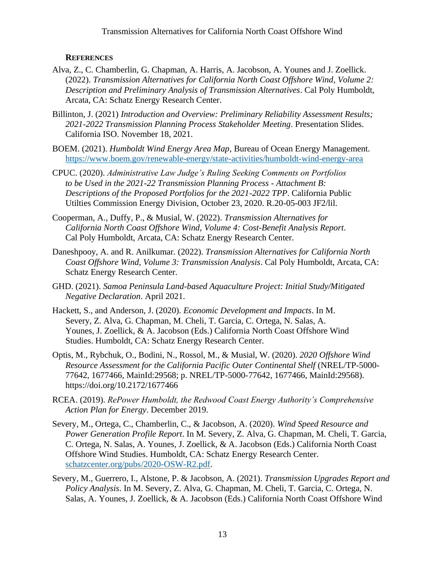#### **REFERENCES**

- <span id="page-15-0"></span>Alva, Z., C. Chamberlin, G. Chapman, A. Harris, A. Jacobson, A. Younes and J. Zoellick*.* (2022). *Transmission Alternatives for California North Coast Offshore Wind, Volume 2: Description and Preliminary Analysis of Transmission Alternatives*. Cal Poly Humboldt, Arcata, CA: Schatz Energy Research Center.
- Billinton, J. (2021) *Introduction and Overview: Preliminary Reliability Assessment Results; 2021-2022 Transmission Planning Process Stakeholder Meeting*. Presentation Slides. California ISO. November 18, 2021.
- BOEM. (2021). *Humboldt Wind Energy Area Map*, Bureau of Ocean Energy Management. <https://www.boem.gov/renewable-energy/state-activities/humboldt-wind-energy-area>
- CPUC. (2020). *Administrative Law Judge's Ruling Seeking Comments on Portfolios to be Used in the 2021-22 Transmission Planning Process - Attachment B: Descriptions of the Proposed Portfolios for the 2021-2022 TPP*. California Public Utilties Commission Energy Division, October 23, 2020. R.20-05-003 JF2/lil.
- Cooperman, A., Duffy, P., & Musial, W. (2022). *Transmission Alternatives for California North Coast Offshore Wind, Volume 4: Cost-Benefit Analysis Report*. Cal Poly Humboldt, Arcata, CA: Schatz Energy Research Center.
- Daneshpooy, A. and R. Anilkumar*.* (2022). *Transmission Alternatives for California North Coast Offshore Wind, Volume 3: Transmission Analysis*. Cal Poly Humboldt, Arcata, CA: Schatz Energy Research Center.
- GHD. (2021). *Samoa Peninsula Land-based Aquaculture Project: Initial Study/Mitigated Negative Declaration*. April 2021.
- Hackett, S., and Anderson, J. (2020). *Economic Development and Impacts*. In M. Severy, Z. Alva, G. Chapman, M. Cheli, T. Garcia, C. Ortega, N. Salas, A. Younes, J. Zoellick, & A. Jacobson (Eds.) California North Coast Offshore Wind Studies. Humboldt, CA: Schatz Energy Research Center.
- Optis, M., Rybchuk, O., Bodini, N., Rossol, M., & Musial, W. (2020). *2020 Offshore Wind Resource Assessment for the California Pacific Outer Continental Shelf* (NREL/TP-5000- 77642, 1677466, MainId:29568; p. NREL/TP-5000-77642, 1677466, MainId:29568). https://doi.org/10.2172/1677466
- RCEA. (2019). *RePower Humboldt, the Redwood Coast Energy Authority's Comprehensive Action Plan for Energy*. December 2019.
- Severy, M., Ortega, C., Chamberlin, C., & Jacobson, A. (2020). *Wind Speed Resource and Power Generation Profile Report*. In M. Severy, Z. Alva, G. Chapman, M. Cheli, T. Garcia, C. Ortega, N. Salas, A. Younes, J. Zoellick, & A. Jacobson (Eds.) California North Coast Offshore Wind Studies. Humboldt, CA: Schatz Energy Research Center. [schatzcenter.org/pubs/2020-OSW-R2.pdf.](http://schatzcenter.org/pubs/2020-OSW-R2.pdf)
- Severy, M., Guerrero, I., Alstone, P. & Jacobson, A. (2021). *Transmission Upgrades Report and Policy Analysis*. In M. Severy, Z. Alva, G. Chapman, M. Cheli, T. Garcia, C. Ortega, N. Salas, A. Younes, J. Zoellick, & A. Jacobson (Eds.) California North Coast Offshore Wind